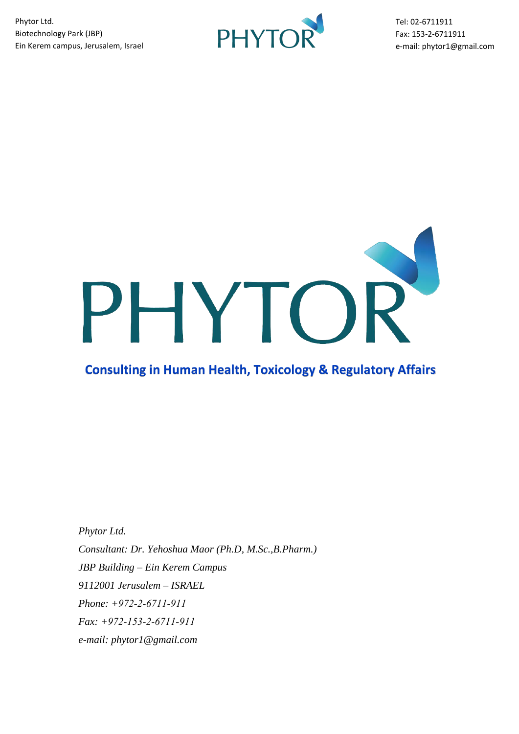

Tel: 02-6711911 Fax: 153-2-6711911 e-mail: phytor1@gmail.com



## **Consulting in Human Health, Toxicology & Regulatory Affairs**

*Phytor Ltd. Consultant: Dr. Yehoshua Maor (Ph.D, M.Sc.,B.Pharm.) JBP Building – Ein Kerem Campus 9112001 Jerusalem – ISRAEL Phone: +972-2-6711-911 Fax: +972-153-2-6711-911 e-mail: phytor1@gmail.com*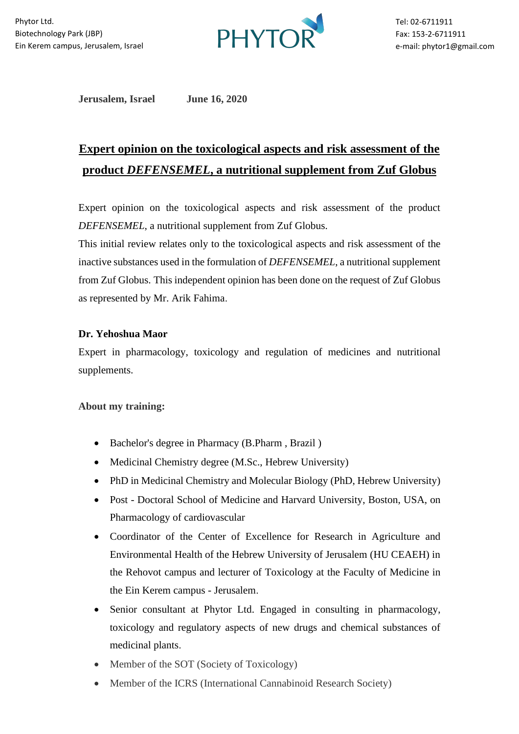

**Jerusalem, Israel June 16, 2020**

# **Expert opinion on the toxicological aspects and risk assessment of the product** *DEFENSEMEL***, a nutritional supplement from Zuf Globus**

Expert opinion on the toxicological aspects and risk assessment of the product *DEFENSEMEL*, a nutritional supplement from Zuf Globus.

This initial review relates only to the toxicological aspects and risk assessment of the inactive substances used in the formulation of *DEFENSEMEL*, a nutritional supplement from Zuf Globus. This independent opinion has been done on the request of Zuf Globus as represented by Mr. Arik Fahima.

## **Dr. Yehoshua Maor**

Expert in pharmacology, toxicology and regulation of medicines and nutritional supplements.

### About my training:

- Bachelor's degree in Pharmacy (B.Pharm , Brazil )
- Medicinal Chemistry degree (M.Sc., Hebrew University)
- PhD in Medicinal Chemistry and Molecular Biology (PhD, Hebrew University)
- Post Doctoral School of Medicine and Harvard University, Boston, USA, on Pharmacology of cardiovascular
- Coordinator of the Center of Excellence for Research in Agriculture and Environmental Health of the Hebrew University of Jerusalem (HU CEAEH) in the Rehovot campus and lecturer of Toxicology at the Faculty of Medicine in the Ein Kerem campus - Jerusalem.
- Senior consultant at Phytor Ltd. Engaged in consulting in pharmacology, toxicology and regulatory aspects of new drugs and chemical substances of medicinal plants.
- Member of the SOT (Society of Toxicology)
- Member of the ICRS (International Cannabinoid Research Society)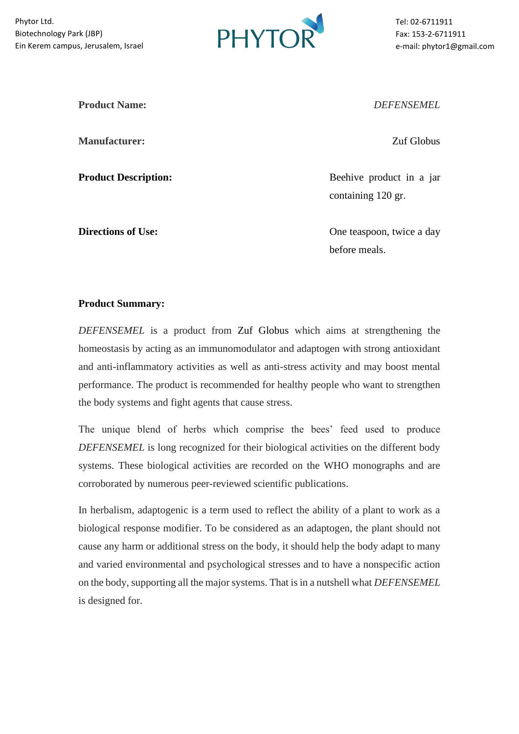

Tel: 02-6711911 Fax: 153-2-6711911 e-mail: phytor1@gmail.com

**Manufacturer:** Zuf Globus

**Product Name:** *DEFENSEMEL*

**Product Description:** Beehive product in a jar containing 120 gr.

**Directions of Use:** One teaspoon, twice a day before meals.

#### **Product Summary:**

*DEFENSEMEL* is a product from Zuf Globus which aims at strengthening the homeostasis by acting as an immunomodulator and adaptogen with strong antioxidant and anti-inflammatory activities as well as anti-stress activity and may boost mental performance. The product is recommended for healthy people who want to strengthen the body systems and fight agents that cause stress.

The unique blend of herbs which comprise the bees' feed used to produce *DEFENSEMEL* is long recognized for their biological activities on the different body systems. These biological activities are recorded on the WHO monographs and are corroborated by numerous peer-reviewed scientific publications.

In herbalism, adaptogenic is a term used to reflect the ability of a plant to work as a biological response modifier. To be considered as an adaptogen, the plant should not cause any harm or additional stress on the body, it should help the body adapt to many and varied environmental and psychological stresses and to have a nonspecific action on the body, supporting all the major systems. That is in a nutshell what *DEFENSEMEL* is designed for.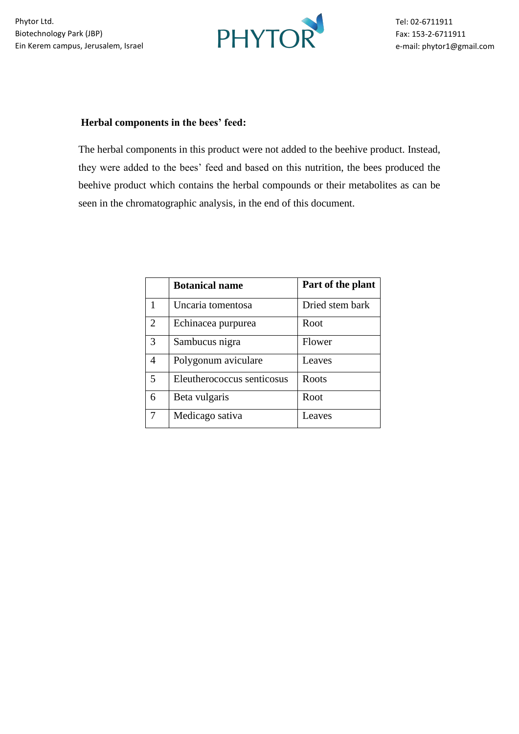

### **Herbal components in the bees' feed:**

The herbal components in this product were not added to the beehive product. Instead, they were added to the bees' feed and based on this nutrition, the bees produced the beehive product which contains the herbal compounds or their metabolites as can be seen in the chromatographic analysis, in the end of this document.

|                | <b>Botanical name</b>      | Part of the plant |
|----------------|----------------------------|-------------------|
| 1              | Uncaria tomentosa          | Dried stem bark   |
| $\overline{2}$ | Echinacea purpurea         | Root              |
| 3              | Sambucus nigra             | Flower            |
| 4              | Polygonum aviculare        | Leaves            |
| 5              | Eleutherococcus senticosus | Roots             |
| 6              | Beta vulgaris              | Root              |
|                | Medicago sativa            | Leaves            |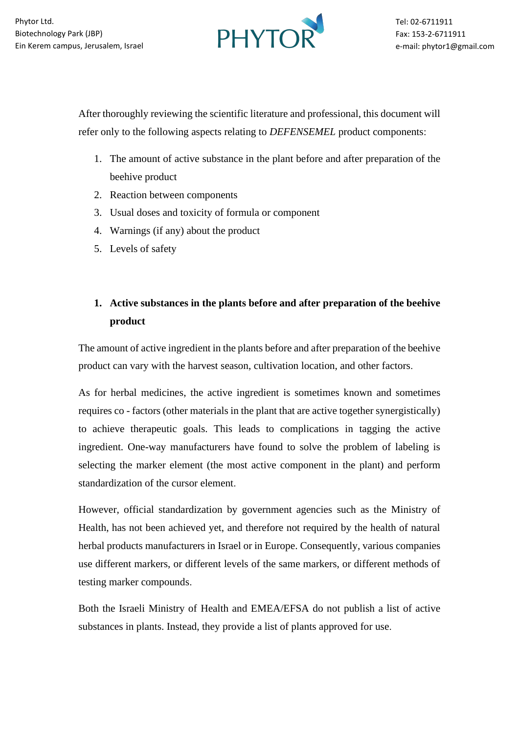

After thoroughly reviewing the scientific literature and professional, this document will refer only to the following aspects relating to *DEFENSEMEL* product components:

- 1. The amount of active substance in the plant before and after preparation of the beehive product
- 2. Reaction between components
- 3. Usual doses and toxicity of formula or component
- 4. Warnings (if any) about the product
- 5. Levels of safety

## **1. Active substances in the plants before and after preparation of the beehive product**

The amount of active ingredient in the plants before and after preparation of the beehive product can vary with the harvest season, cultivation location, and other factors.

As for herbal medicines, the active ingredient is sometimes known and sometimes requires co - factors (other materials in the plant that are active together synergistically) to achieve therapeutic goals. This leads to complications in tagging the active ingredient. One-way manufacturers have found to solve the problem of labeling is selecting the marker element (the most active component in the plant) and perform standardization of the cursor element .

However, official standardization by government agencies such as the Ministry of Health, has not been achieved yet, and therefore not required by the health of natural herbal products manufacturers in Israel or in Europe. Consequently, various companies use different markers, or different levels of the same markers, or different methods of testing marker compounds.

Both the Israeli Ministry of Health and EMEA/EFSA do not publish a list of active substances in plants. Instead, they provide a list of plants approved for use.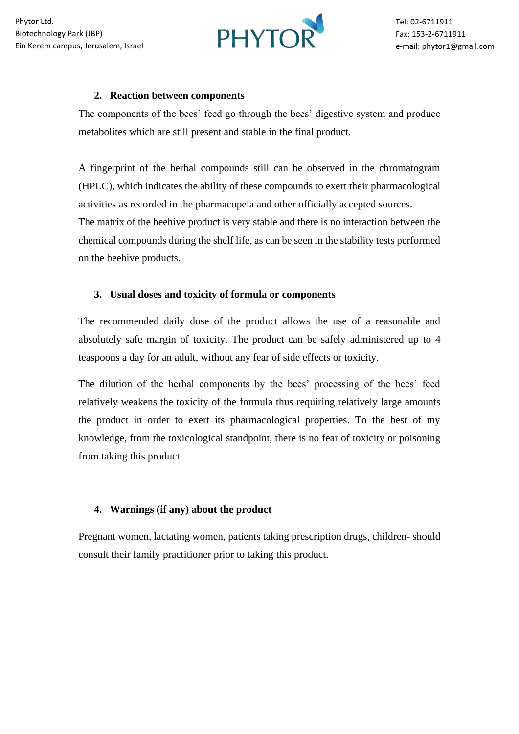

#### **2. Reaction between components**

The components of the bees' feed go through the bees' digestive system and produce metabolites which are still present and stable in the final product.

A fingerprint of the herbal compounds still can be observed in the chromatogram (HPLC), which indicates the ability of these compounds to exert their pharmacological activities as recorded in the pharmacopeia and other officially accepted sources. The matrix of the beehive product is very stable and there is no interaction between the chemical compounds during the shelf life, as can be seen in the stability tests performed on the beehive products.

## **3. Usual doses and toxicity of formula or components**

The recommended daily dose of the product allows the use of a reasonable and absolutely safe margin of toxicity. The product can be safely administered up to 4 teaspoons a day for an adult, without any fear of side effects or toxicity.

The dilution of the herbal components by the bees' processing of the bees' feed relatively weakens the toxicity of the formula thus requiring relatively large amounts the product in order to exert its pharmacological properties. To the best of my knowledge, from the toxicological standpoint, there is no fear of toxicity or poisoning from taking this product.

## **4. Warnings (if any) about the product**

Pregnant women, lactating women, patients taking prescription drugs, children- should consult their family practitioner prior to taking this product.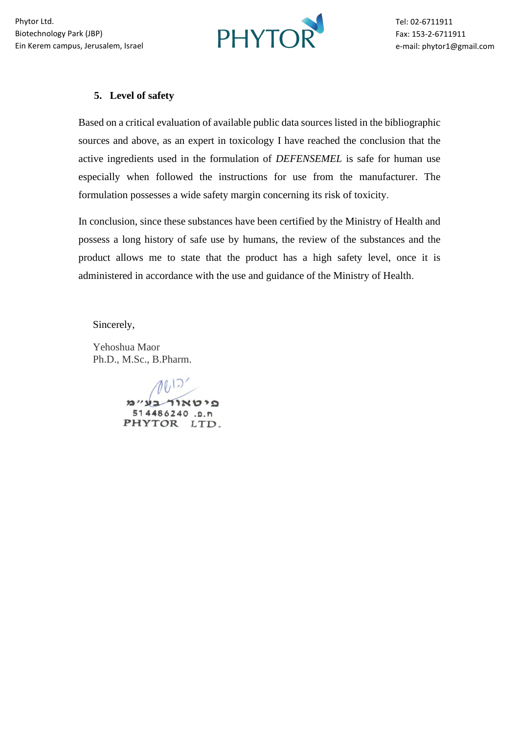

### **5. Level of safety**

Based on a critical evaluation of available public data sources listed in the bibliographic sources and above, as an expert in toxicology I have reached the conclusion that the active ingredients used in the formulation of *DEFENSEMEL* is safe for human use especially when followed the instructions for use from the manufacturer. The formulation possesses a wide safety margin concerning its risk of toxicity.

In conclusion, since these substances have been certified by the Ministry of Health and possess a long history of safe use by humans, the review of the substances and the product allows me to state that the product has a high safety level, once it is administered in accordance with the use and guidance of the Ministry of Health.

Sincerely,

Yehoshua Maor Ph.D., M.Sc., B.Pharm.

> פיטאור בע״מ 514486240.9.1 PHYTOR LTD.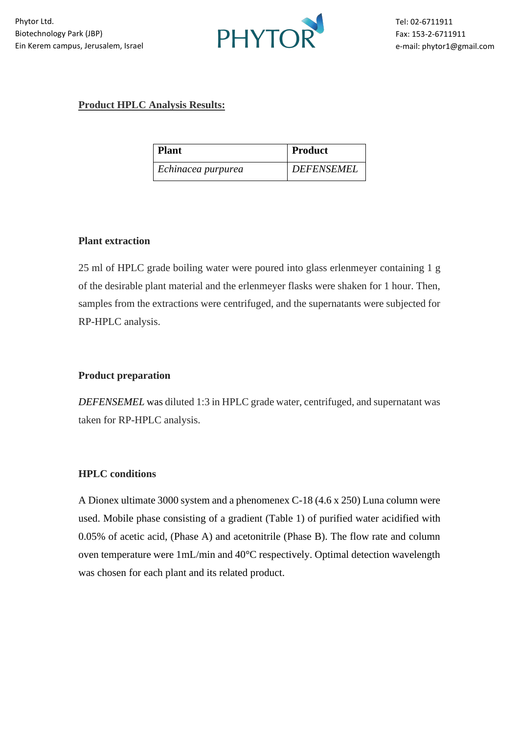

## **Product HPLC Analysis Results:**

| <b>Plant</b>       | Product           |
|--------------------|-------------------|
| Echinacea purpurea | <b>DEFENSEMEL</b> |

#### **Plant extraction**

25 ml of HPLC grade boiling water were poured into glass erlenmeyer containing 1 g of the desirable plant material and the erlenmeyer flasks were shaken for 1 hour. Then, samples from the extractions were centrifuged, and the supernatants were subjected for RP-HPLC analysis.

### **Product preparation**

*DEFENSEMEL* was diluted 1:3 in HPLC grade water, centrifuged, and supernatant was taken for RP-HPLC analysis.

### **HPLC conditions**

A Dionex ultimate 3000 system and a phenomenex C-18 (4.6 x 250) Luna column were used. Mobile phase consisting of a gradient (Table 1) of purified water acidified with 0.05% of acetic acid, (Phase A) and acetonitrile (Phase B). The flow rate and column oven temperature were 1mL/min and 40°C respectively. Optimal detection wavelength was chosen for each plant and its related product.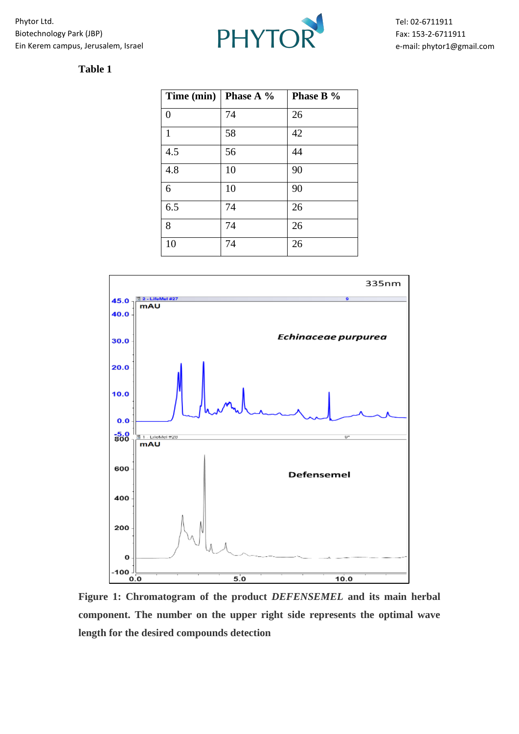

## **Table 1**

|              | Time (min)   Phase A $%$ | Phase B % |
|--------------|--------------------------|-----------|
| 0            | 74                       | 26        |
| $\mathbf{1}$ | 58                       | 42        |
| 4.5          | 56                       | 44        |
| 4.8          | 10                       | 90        |
| 6            | 10                       | 90        |
| 6.5          | 74                       | 26        |
| 8            | 74                       | 26        |
| 10           | 74                       | 26        |



**Figure 1: Chromatogram of the product** *DEFENSEMEL* **and its main herbal component. The number on the upper right side represents the optimal wave length for the desired compounds detection**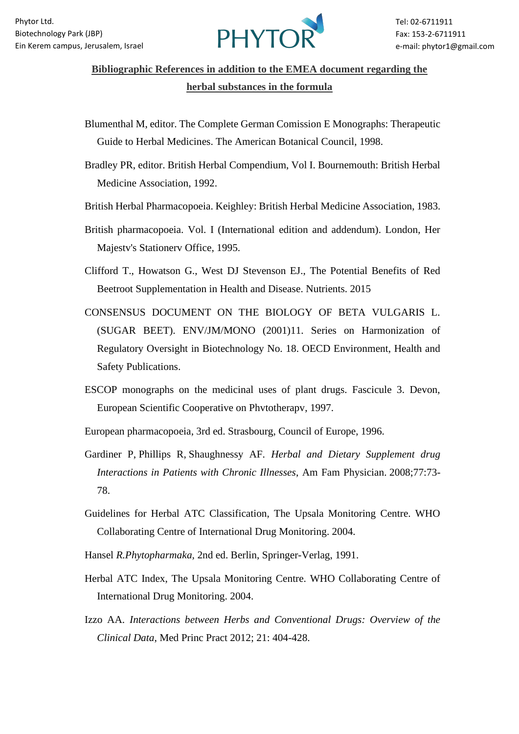

## **Bibliographic References in addition to the EMEA document regarding the herbal substances in the formula**

- Blumenthal M, editor. The Complete German Comission E Monographs: Therapeutic Guide to Herbal Medicines. The American Botanical Council, 1998.
- Bradley PR, editor. British Herbal Compendium, Vol I. Bournemouth: British Herbal Medicine Association, 1992.
- British Herbal Pharmacopoeia. Keighley: British Herbal Medicine Association, 1983.
- British pharmacopoeia. Vol. I (International edition and addendum). London, Her Majestv's Stationerv Office, 1995.
- Clifford T., Howatson G., West DJ Stevenson EJ., The Potential Benefits of Red Beetroot Supplementation in Health and Disease. Nutrients. 2015
- CONSENSUS DOCUMENT ON THE BIOLOGY OF BETA VULGARIS L. (SUGAR BEET). ENV/JM/MONO (2001)11. Series on Harmonization of Regulatory Oversight in Biotechnology No. 18. OECD Environment, Health and Safety Publications.
- ESCOP monographs on the medicinal uses of plant drugs. Fascicule 3. Devon, European Scientific Cooperative on Phvtotherapv, 1997.
- European pharmacopoeia, 3rd ed. Strasbourg, Council of Europe, 1996.
- [Gardiner P,](http://www.ncbi.nlm.nih.gov/pubmed?term=Gardiner%20P%5BAuthor%5D&cauthor=true&cauthor_uid=18236826) [Phillips R,](http://www.ncbi.nlm.nih.gov/pubmed?term=Phillips%20R%5BAuthor%5D&cauthor=true&cauthor_uid=18236826) [Shaughnessy AF.](http://www.ncbi.nlm.nih.gov/pubmed?term=Shaughnessy%20AF%5BAuthor%5D&cauthor=true&cauthor_uid=18236826) *Herbal and Dietary Supplement drug Interactions in Patients with Chronic Illnesses*, [Am Fam Physician.](http://www.ncbi.nlm.nih.gov/pubmed/18236826) 2008;77:73- 78.
- Guidelines for Herbal ATC Classification, The Upsala Monitoring Centre. WHO Collaborating Centre of International Drug Monitoring. 2004.
- Hansel *R.Phytopharmaka,* 2nd ed. Berlin, Springer-Verlag, 1991.
- Herbal ATC Index, The Upsala Monitoring Centre. WHO Collaborating Centre of International Drug Monitoring. 2004.
- Izzo AA. *Interactions between Herbs and Conventional Drugs: Overview of the Clinical Data*, Med Princ Pract 2012; 21: 404-428.